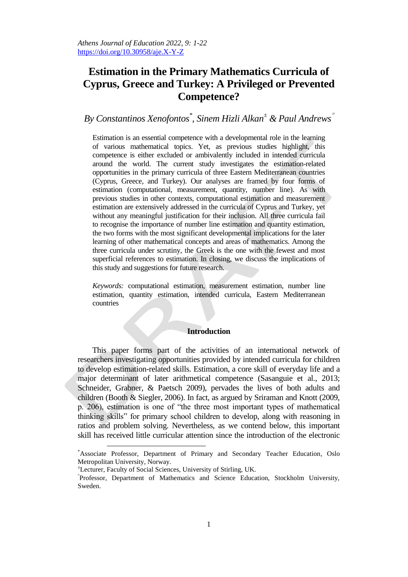# **Estimation in the Primary Mathematics Curricula of Cyprus, Greece and Turkey: A Privileged or Prevented Competence?**

## *By Constantinos Xenofontos\* , Sinem Hizli Alkan<sup>±</sup> & Paul Andrews*

Estimation is an essential competence with a developmental role in the learning of various mathematical topics. Yet, as previous studies highlight, this competence is either excluded or ambivalently included in intended curricula around the world. The current study investigates the estimation-related opportunities in the primary curricula of three Eastern Mediterranean countries (Cyprus, Greece, and Turkey). Our analyses are framed by four forms of estimation (computational, measurement, quantity, number line). As with previous studies in other contexts, computational estimation and measurement estimation are extensively addressed in the curricula of Cyprus and Turkey, yet without any meaningful justification for their inclusion. All three curricula fail to recognise the importance of number line estimation and quantity estimation, the two forms with the most significant developmental implications for the later learning of other mathematical concepts and areas of mathematics. Among the three curricula under scrutiny, the Greek is the one with the fewest and most superficial references to estimation. In closing, we discuss the implications of this study and suggestions for future research.

*Keywords:* computational estimation, measurement estimation, number line estimation, quantity estimation, intended curricula, Eastern Mediterranean countries

#### **Introduction**

This paper forms part of the activities of an international network of researchers investigating opportunities provided by intended curricula for children to develop estimation-related skills. Estimation, a core skill of everyday life and a major determinant of later arithmetical competence (Sasanguie et al., 2013; Schneider, Grabner, & Paetsch 2009), pervades the lives of both adults and children (Booth & Siegler, 2006). In fact, as argued by Sriraman and Knott (2009, p. 206), estimation is one of "the three most important types of mathematical thinking skills" for primary school children to develop, along with reasoning in ratios and problem solving. Nevertheless, as we contend below, this important skill has received little curricular attention since the introduction of the electronic

1

<sup>\*</sup>Associate Professor, Department of Primary and Secondary Teacher Education, Oslo Metropolitan University, Norway.

<sup>±</sup>Lecturer, Faculty of Social Sciences, University of Stirling, UK.

Professor, Department of Mathematics and Science Education, Stockholm University, Sweden.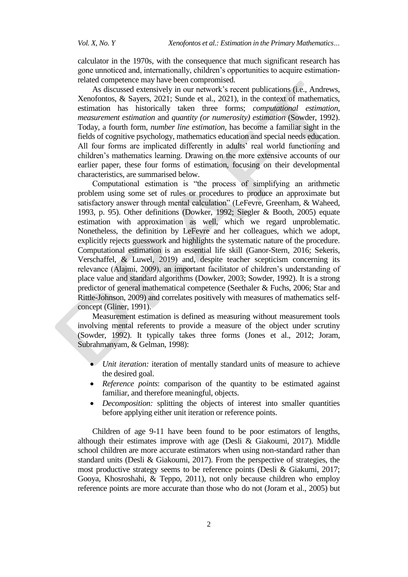calculator in the 1970s, with the consequence that much significant research has gone unnoticed and, internationally, children"s opportunities to acquire estimationrelated competence may have been compromised.

As discussed extensively in our network"s recent publications (i.e., Andrews, Xenofontos, & Sayers, 2021; Sunde et al., 2021), in the context of mathematics, estimation has historically taken three forms; *computational estimation, measurement estimation* and *quantity (or numerosity) estimation* (Sowder, 1992). Today, a fourth form, *number line estimation,* has become a familiar sight in the fields of cognitive psychology, mathematics education and special needs education. All four forms are implicated differently in adults' real world functioning and children"s mathematics learning. Drawing on the more extensive accounts of our earlier paper, these four forms of estimation, focusing on their developmental characteristics, are summarised below.

Computational estimation is "the process of simplifying an arithmetic problem using some set of rules or procedures to produce an approximate but satisfactory answer through mental calculation" (LeFevre, Greenham, & Waheed, 1993, p. 95). Other definitions (Dowker, 1992; Siegler & Booth, 2005) equate estimation with approximation as well, which we regard unproblematic. Nonetheless, the definition by LeFevre and her colleagues, which we adopt, explicitly rejects guesswork and highlights the systematic nature of the procedure. Computational estimation is an essential life skill (Ganor-Stern, 2016; Sekeris, Verschaffel, & Luwel, 2019) and, despite teacher scepticism concerning its relevance (Alajmi, 2009), an important facilitator of children"s understanding of place value and standard algorithms (Dowker, 2003; Sowder, 1992). It is a strong predictor of general mathematical competence (Seethaler & Fuchs, 2006; Star and Rittle-Johnson, 2009) and correlates positively with measures of mathematics selfconcept (Gliner, 1991).

Measurement estimation is defined as measuring without measurement tools involving mental referents to provide a measure of the object under scrutiny (Sowder, 1992). It typically takes three forms (Jones et al., 2012; Joram, Subrahmanyam, & Gelman, 1998):

- *Unit iteration:* iteration of mentally standard units of measure to achieve the desired goal.
- *Reference points*: comparison of the quantity to be estimated against familiar, and therefore meaningful, objects.
- *Decomposition:* splitting the objects of interest into smaller quantities before applying either unit iteration or reference points.

Children of age 9-11 have been found to be poor estimators of lengths, although their estimates improve with age (Desli & Giakoumi, 2017). Middle school children are more accurate estimators when using non-standard rather than standard units (Desli & Giakoumi, 2017). From the perspective of strategies, the most productive strategy seems to be reference points (Desli & Giakumi, 2017; Gooya, Khosroshahi, & Teppo, 2011), not only because children who employ reference points are more accurate than those who do not (Joram et al., 2005) but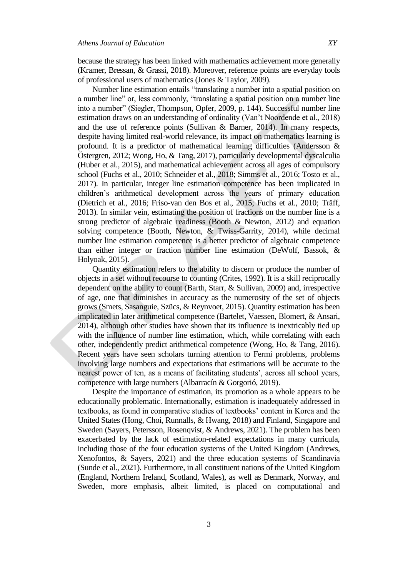because the strategy has been linked with mathematics achievement more generally (Kramer, Bressan, & Grassi, 2018). Moreover, reference points are everyday tools of professional users of mathematics (Jones & Taylor, 2009).

Number line estimation entails "translating a number into a spatial position on a number line" or, less commonly, "translating a spatial position on a number line into a number" (Siegler, Thompson, Opfer, 2009, p. 144). Successful number line estimation draws on an understanding of ordinality (Van"t Noordende et al., 2018) and the use of reference points (Sullivan & Barner, 2014). In many respects, despite having limited real-world relevance, its impact on mathematics learning is profound. It is a predictor of mathematical learning difficulties (Andersson & Östergren, 2012; Wong, Ho, & Tang, 2017), particularly developmental dyscalculia (Huber et al., 2015), and mathematical achievement across all ages of compulsory school (Fuchs et al., 2010; Schneider et al., 2018; Simms et al., 2016; Tosto et al., 2017). In particular, integer line estimation competence has been implicated in children"s arithmetical development across the years of primary education (Dietrich et al., 2016; Friso-van den Bos et al., 2015; Fuchs et al., 2010; Träff, 2013). In similar vein, estimating the position of fractions on the number line is a strong predictor of algebraic readiness (Booth & Newton, 2012) and equation solving competence (Booth, Newton, & Twiss-Garrity, 2014), while decimal number line estimation competence is a better predictor of algebraic competence than either integer or fraction number line estimation (DeWolf, Bassok, & Holyoak, 2015).

Quantity estimation refers to the ability to discern or produce the number of objects in a set without recourse to counting (Crites, 1992). It is a skill reciprocally dependent on the ability to count (Barth, Starr, & Sullivan, 2009) and, irrespective of age, one that diminishes in accuracy as the numerosity of the set of objects grows (Smets, Sasanguie, Szücs, & Reynvoet, 2015). Quantity estimation has been implicated in later arithmetical competence (Bartelet, Vaessen, Blomert, & Ansari, 2014), although other studies have shown that its influence is inextricably tied up with the influence of number line estimation, which, while correlating with each other, independently predict arithmetical competence (Wong, Ho, & Tang, 2016). Recent years have seen scholars turning attention to Fermi problems, problems involving large numbers and expectations that estimations will be accurate to the nearest power of ten, as a means of facilitating students', across all school years, competence with large numbers (Albarracín & Gorgorió, 2019).

Despite the importance of estimation, its promotion as a whole appears to be educationally problematic. Internationally, estimation is inadequately addressed in textbooks, as found in comparative studies of textbooks" content in Korea and the United States (Hong, Choi, Runnalls, & Hwang, 2018) and Finland, Singapore and Sweden (Sayers, Petersson, Rosenqvist, & Andrews, 2021). The problem has been exacerbated by the lack of estimation-related expectations in many curricula, including those of the four education systems of the United Kingdom (Andrews, Xenofontos, & Sayers, 2021) and the three education systems of Scandinavia (Sunde et al., 2021). Furthermore, in all constituent nations of the United Kingdom (England, Northern Ireland, Scotland, Wales), as well as Denmark, Norway, and Sweden, more emphasis, albeit limited, is placed on computational and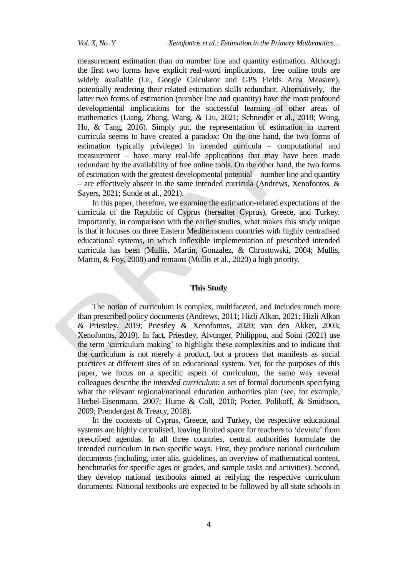measurement estimation than on number line and quantity estimation. Although the first two forms have explicit real-word implications, free online tools are widely available (i.e., Google Calculator and GPS Fields Area Measure), potentially rendering their related estimation skills redundant. Alternatively, the latter two forms of estimation (number line and quantity) have the most profound developmental implications for the successful learning of other areas of mathematics (Liang, Zhang, Wang, & Liu, 2021; Schneider et al., 2018; Wong, Ho, & Tang, 2016). Simply put, the representation of estimation in current curricula seems to have created a paradox: On the one hand, the two forms of estimation typically privileged in intended curricula – computational and measurement – have many real-life applications that may have been made redundant by the availability of free online tools. On the other hand, the two forms of estimation with the greatest developmental potential – number line and quantity – are effectively absent in the same intended curricula (Andrews, Xenofontos, & Sayers, 2021; Sunde et al., 2021).

In this paper, therefore, we examine the estimation-related expectations of the curricula of the Republic of Cyprus (hereafter Cyprus), Greece, and Turkey. Importantly, in comparison with the earlier studies, what makes this study unique is that it focuses on three Eastern Mediterranean countries with highly centralised educational systems, in which inflexible implementation of prescribed intended curricula has been (Mullis, Martin, Gonzalez, & Chrostowski, 2004; Mullis, Martin, & Foy, 2008) and remains (Mullis et al., 2020) a high priority.

#### **This Study**

The notion of curriculum is complex, multifaceted, and includes much more than prescribed policy documents (Andrews, 2011; Hizli Alkan, 2021; Hizli Alkan & Priestley, 2019; Priestley & Xenofontos, 2020; van den Akker, 2003; Xenofontos, 2019). In fact, Priestley, Alvunger, Philippou, and Soini (2021) use the term "curriculum making" to highlight these complexities and to indicate that the curriculum is not merely a product, but a process that manifests as social practices at different sites of an educational system. Yet, for the purposes of this paper, we focus on a specific aspect of curriculum, the same way several colleagues describe the *intended curriculum*: a set of formal documents specifying what the relevant regional/national education authorities plan (see, for example, Herbel-Eisenmann, 2007; Hume & Coll, 2010; Porter, Polikoff, & Smithson, 2009; Prendergast & Treacy, 2018).

In the contexts of Cyprus, Greece, and Turkey, the respective educational systems are highly centralised, leaving limited space for teachers to 'deviate' from prescribed agendas. In all three countries, central authorities formulate the intended curriculum in two specific ways. First, they produce national curriculum documents (including, inter alia, guidelines, an overview of mathematical content, benchmarks for specific ages or grades, and sample tasks and activities). Second, they develop national textbooks aimed at reifying the respective curriculum documents. National textbooks are expected to be followed by all state schools in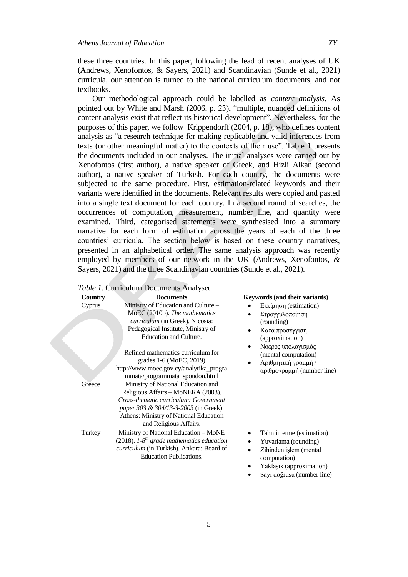these three countries. In this paper, following the lead of recent analyses of UK (Andrews, Xenofontos, & Sayers, 2021) and Scandinavian (Sunde et al., 2021) curricula, our attention is turned to the national curriculum documents, and not textbooks.

Our methodological approach could be labelled as *content analysis*. As pointed out by White and Marsh (2006, p. 23), "multiple, nuanced definitions of content analysis exist that reflect its historical development". Nevertheless, for the purposes of this paper, we follow Krippendorff (2004, p. 18), who defines content analysis as "a research technique for making replicable and valid inferences from texts (or other meaningful matter) to the contexts of their use". Table 1 presents the documents included in our analyses. The initial analyses were carried out by Xenofontos (first author), a native speaker of Greek, and Hizli Alkan (second author), a native speaker of Turkish. For each country, the documents were subjected to the same procedure. First, estimation-related keywords and their variants were identified in the documents. Relevant results were copied and pasted into a single text document for each country. In a second round of searches, the occurrences of computation, measurement, number line, and quantity were examined. Third, categorised statements were synthesised into a summary narrative for each form of estimation across the years of each of the three countries" curricula. The section below is based on these country narratives, presented in an alphabetical order. The same analysis approach was recently employed by members of our network in the UK (Andrews, Xenofontos, & Sayers, 2021) and the three Scandinavian countries (Sunde et al., 2021).

| Country | <b>Documents</b>                                                                                                                                                                                                       | Keywords (and their variants)                                                                                                                        |
|---------|------------------------------------------------------------------------------------------------------------------------------------------------------------------------------------------------------------------------|------------------------------------------------------------------------------------------------------------------------------------------------------|
| Cyprus  | Ministry of Education and Culture –<br>MoEC (2010b). The mathematics<br><i>curriculum</i> (in Greek). Nicosia:<br>Pedagogical Institute, Ministry of<br><b>Education and Culture.</b>                                  | Εκτίμηση (estimation)<br>Στρογγυλοποίηση<br>(rounding)<br>Κατά προσέγγιση<br>(approximation)<br>Νοερός υπολογισμός                                   |
| Greece  | Refined mathematics curriculum for<br>grades 1-6 (MoEC, 2019)<br>http://www.moec.gov.cy/analytika_progra<br>mmata/programmata_spoudon.html<br>Ministry of National Education and<br>Religious Affairs - MoNERA (2003). | (mental computation)<br>Αριθμητική γραμμή /<br>αριθμογραμμή (number line)                                                                            |
|         | Cross-thematic curriculum: Government<br>paper 303 & 304/13-3-2003 (in Greek).<br>Athens: Ministry of National Education<br>and Religious Affairs.                                                                     |                                                                                                                                                      |
| Turkey  | Ministry of National Education - MoNE<br>(2018). $1\text{-}8^{th}$ grade mathematics education<br>curriculum (in Turkish). Ankara: Board of<br><b>Education Publications.</b>                                          | Tahmin etme (estimation)<br>Yuvarlama (rounding)<br>Zihinden işlem (mental<br>computation)<br>Yaklaşık (approximation)<br>Sayı doğrusu (number line) |

|  | Table 1. Curriculum Documents Analysed |  |
|--|----------------------------------------|--|
|  |                                        |  |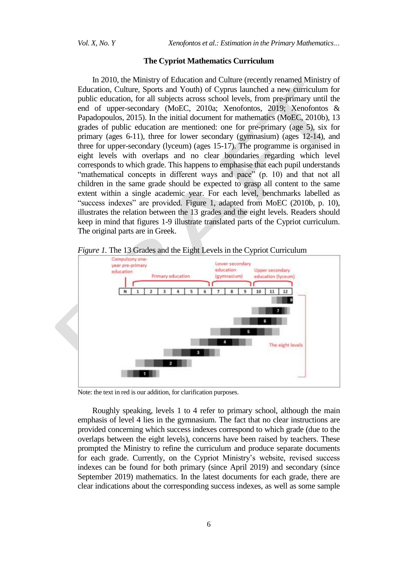#### **The Cypriot Mathematics Curriculum**

In 2010, the Ministry of Education and Culture (recently renamed Ministry of Education, Culture, Sports and Youth) of Cyprus launched a new curriculum for public education, for all subjects across school levels, from pre-primary until the end of upper-secondary (MoEC, 2010a; Xenofontos, 2019; Xenofontos & Papadopoulos, 2015). In the initial document for mathematics (MoEC, 2010b), 13 grades of public education are mentioned: one for pre-primary (age 5), six for primary (ages 6-11), three for lower secondary (gymnasium) (ages 12-14), and three for upper-secondary (lyceum) (ages 15-17). The programme is organised in eight levels with overlaps and no clear boundaries regarding which level corresponds to which grade. This happens to emphasise that each pupil understands "mathematical concepts in different ways and pace" (p. 10) and that not all children in the same grade should be expected to grasp all content to the same extent within a single academic year. For each level, benchmarks labelled as "success indexes" are provided. Figure 1, adapted from MoEC (2010b, p. 10), illustrates the relation between the 13 grades and the eight levels. Readers should keep in mind that figures 1-9 illustrate translated parts of the Cypriot curriculum. The original parts are in Greek.



*Figure 1.* The 13 Grades and the Eight Levels in the Cypriot Curriculum

Note: the text in red is our addition, for clarification purposes.

Roughly speaking, levels 1 to 4 refer to primary school, although the main emphasis of level 4 lies in the gymnasium. The fact that no clear instructions are provided concerning which success indexes correspond to which grade (due to the overlaps between the eight levels), concerns have been raised by teachers. These prompted the Ministry to refine the curriculum and produce separate documents for each grade. Currently, on the Cypriot Ministry"s website, revised success indexes can be found for both primary (since April 2019) and secondary (since September 2019) mathematics. In the latest documents for each grade, there are clear indications about the corresponding success indexes, as well as some sample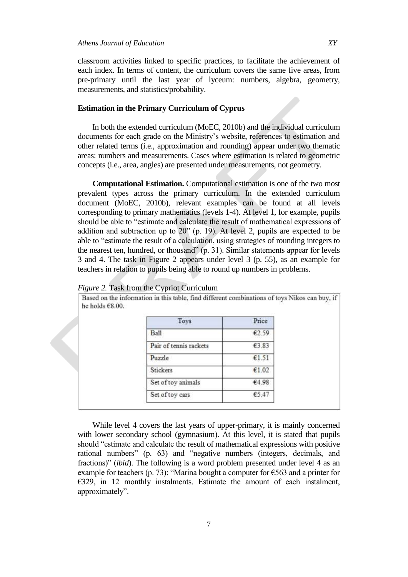classroom activities linked to specific practices, to facilitate the achievement of each index. In terms of content, the curriculum covers the same five areas, from pre-primary until the last year of lyceum: numbers, algebra, geometry, measurements, and statistics/probability.

#### **Estimation in the Primary Curriculum of Cyprus**

In both the extended curriculum (MoEC, 2010b) and the individual curriculum documents for each grade on the Ministry"s website, references to estimation and other related terms (i.e., approximation and rounding) appear under two thematic areas: numbers and measurements. Cases where estimation is related to geometric concepts (i.e., area, angles) are presented under measurements, not geometry.

**Computational Estimation.** Computational estimation is one of the two most prevalent types across the primary curriculum. In the extended curriculum document (MoEC, 2010b), relevant examples can be found at all levels corresponding to primary mathematics (levels 1-4). At level 1, for example, pupils should be able to "estimate and calculate the result of mathematical expressions of addition and subtraction up to 20" (p. 19). At level 2, pupils are expected to be able to "estimate the result of a calculation, using strategies of rounding integers to the nearest ten, hundred, or thousand" (p. 31). Similar statements appear for levels 3 and 4. The task in Figure 2 appears under level 3 (p. 55), as an example for teachers in relation to pupils being able to round up numbers in problems.

Based on the information in this table, find different combinations of toys Nikos can buy, if

| Toys                   | Price |
|------------------------|-------|
| Ball                   | €2.59 |
| Pair of tennis rackets | €3.83 |
| Puzzle                 | €1.51 |
| Stickers               | €1.02 |
| Set of toy animals     | €4.98 |
| Set of toy cars        | €5.47 |

| Figure 2. Task from the Cypriot Curriculum |  |  |  |  |
|--------------------------------------------|--|--|--|--|
|--------------------------------------------|--|--|--|--|

While level 4 covers the last years of upper-primary, it is mainly concerned with lower secondary school (gymnasium). At this level, it is stated that pupils should "estimate and calculate the result of mathematical expressions with positive rational numbers" (p. 63) and "negative numbers (integers, decimals, and fractions)" (*ibid*). The following is a word problem presented under level 4 as an example for teachers (p. 73): "Marina bought a computer for  $\epsilon$ 563 and a printer for €329, in 12 monthly instalments. Estimate the amount of each instalment, approximately".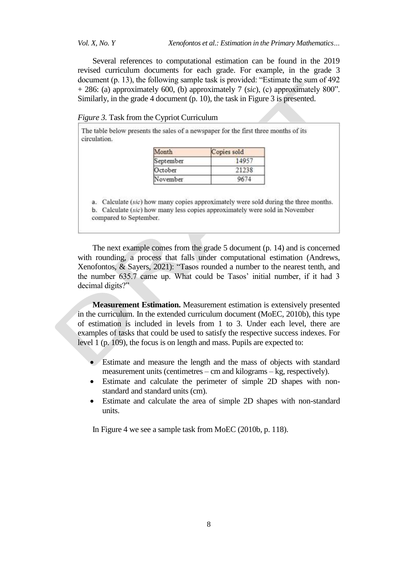*Vol. X, No. Y Xenofontos et al.: Estimation in the Primary Mathematics…*

Several references to computational estimation can be found in the 2019 revised curriculum documents for each grade. For example, in the grade 3 document (p. 13), the following sample task is provided: "Estimate the sum of 492 + 286: (a) approximately 600, (b) approximately 7 (*sic*), (c) approximately 800". Similarly, in the grade 4 document (p. 10), the task in Figure 3 is presented.

| Figure 3. Task from the Cypriot Curriculum |  |  |  |  |
|--------------------------------------------|--|--|--|--|
|                                            |  |  |  |  |

The table below presents the sales of a newspaper for the first three months of its circulation.

| Month     | Copies sold |  |  |
|-----------|-------------|--|--|
| September | 14957       |  |  |
| October   | 21238       |  |  |
| November  | 9674        |  |  |
|           |             |  |  |

a. Calculate  $(sic)$  how many copies approximately were sold during the three months. b. Calculate (sic) how many less copies approximately were sold in November compared to September.

The next example comes from the grade 5 document (p. 14) and is concerned with rounding, a process that falls under computational estimation (Andrews, Xenofontos, & Sayers, 2021): "Tasos rounded a number to the nearest tenth, and the number 635.7 came up. What could be Tasos' initial number, if it had 3 decimal digits?"

**Measurement Estimation.** Measurement estimation is extensively presented in the curriculum. In the extended curriculum document (MoEC, 2010b), this type of estimation is included in levels from 1 to 3. Under each level, there are examples of tasks that could be used to satisfy the respective success indexes. For level 1 (p. 109), the focus is on length and mass. Pupils are expected to:

- Estimate and measure the length and the mass of objects with standard measurement units (centimetres – cm and kilograms – kg, respectively).
- Estimate and calculate the perimeter of simple 2D shapes with nonstandard and standard units (cm).
- Estimate and calculate the area of simple 2D shapes with non-standard units.

In Figure 4 we see a sample task from MoEC (2010b, p. 118).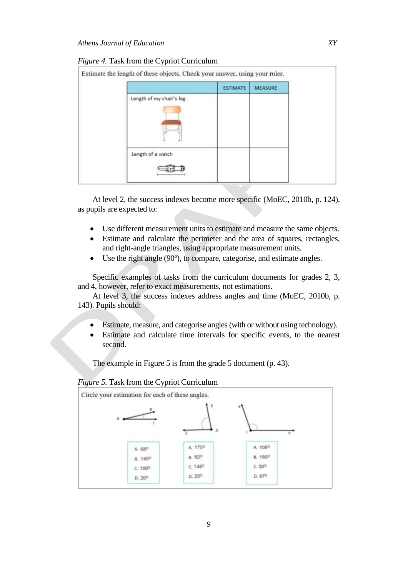#### *Figure 4.* Task from the Cypriot Curriculum

|                          | <b>ESTIMATE</b> | <b>MEASURE</b> |  |
|--------------------------|-----------------|----------------|--|
| Length of my chair's leg |                 |                |  |
|                          |                 |                |  |
| Length of a watch        |                 |                |  |

At level 2, the success indexes become more specific (MoEC, 2010b, p. 124), as pupils are expected to:

- Use different measurement units to estimate and measure the same objects.
- Estimate and calculate the perimeter and the area of squares, rectangles, and right-angle triangles, using appropriate measurement units.
- Use the right angle (90º), to compare, categorise, and estimate angles.

Specific examples of tasks from the curriculum documents for grades 2, 3, and 4, however, refer to exact measurements, not estimations.

At level 3, the success indexes address angles and time (MoEC, 2010b, p. 143). Pupils should:

- Estimate, measure, and categorise angles (with or without using technology).
- Estimate and calculate time intervals for specific events, to the nearest second.

The example in Figure 5 is from the grade 5 document (p. 43).

#### *Figure 5.* Task from the Cypriot Curriculum

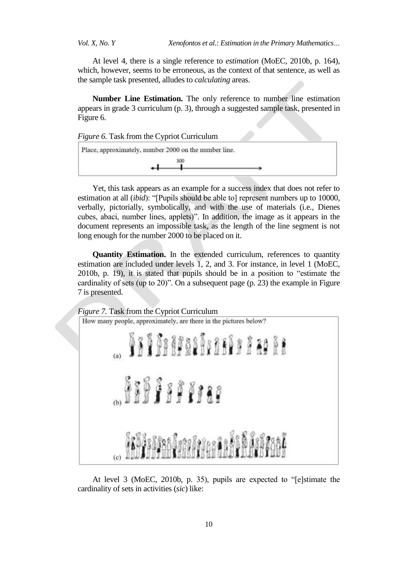*Vol. X, No. Y Xenofontos et al.: Estimation in the Primary Mathematics…*

At level 4, there is a single reference to *estimation* (MoEC, 2010b, p. 164), which, however, seems to be erroneous, as the context of that sentence, as well as the sample task presented, alludes to *calculating* areas.

**Number Line Estimation.** The only reference to number line estimation appears in grade 3 curriculum (p. 3), through a suggested sample task, presented in Figure 6.

*Figure 6.* Task from the Cypriot Curriculum

| Place, approximately, number 2000 on the number line. |  |
|-------------------------------------------------------|--|
| 300                                                   |  |

Yet, this task appears as an example for a success index that does not refer to estimation at all (*ibid*): "[Pupils should be able to] represent numbers up to 10000, verbally, pictorially, symbolically, and with the use of materials (i.e., Dienes cubes, abaci, number lines, applets)". In addition, the image as it appears in the document represents an impossible task, as the length of the line segment is not long enough for the number 2000 to be placed on it.

**Quantity Estimation.** In the extended curriculum, references to quantity estimation are included under levels 1, 2, and 3. For instance, in level 1 (MoEC, 2010b, p. 19), it is stated that pupils should be in a position to "estimate the cardinality of sets (up to 20)". On a subsequent page (p. 23) the example in Figure 7 is presented.



At level 3 (MoEC, 2010b, p. 35), pupils are expected to "[e]stimate the cardinality of sets in activities (*sic*) like: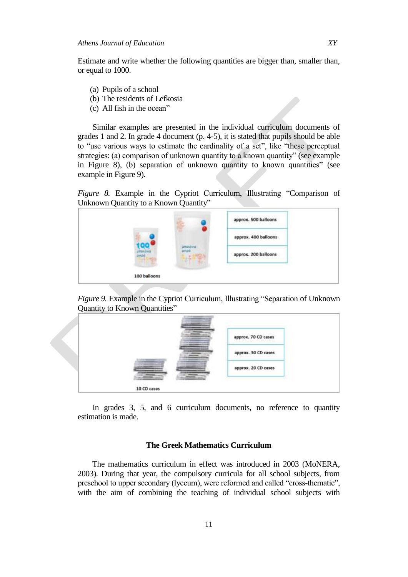Estimate and write whether the following quantities are bigger than, smaller than, or equal to 1000.

- (a) Pupils of a school
- (b) The residents of Lefkosia
- (c) All fish in the ocean"

Similar examples are presented in the individual curriculum documents of grades 1 and 2. In grade 4 document (p. 4-5), it is stated that pupils should be able to "use various ways to estimate the cardinality of a set", like "these perceptual strategies: (a) comparison of unknown quantity to a known quantity" (see example in Figure 8), (b) separation of unknown quantity to known quantities" (see example in Figure 9).

*Figure 8.* Example in the Cypriot Curriculum, Illustrating "Comparison of Unknown Quantity to a Known Quantity"







In grades 3, 5, and 6 curriculum documents, no reference to quantity estimation is made.

#### **The Greek Mathematics Curriculum**

The mathematics curriculum in effect was introduced in 2003 (MoNERA, 2003). During that year, the compulsory curricula for all school subjects, from preschool to upper secondary (lyceum), were reformed and called "cross-thematic", with the aim of combining the teaching of individual school subjects with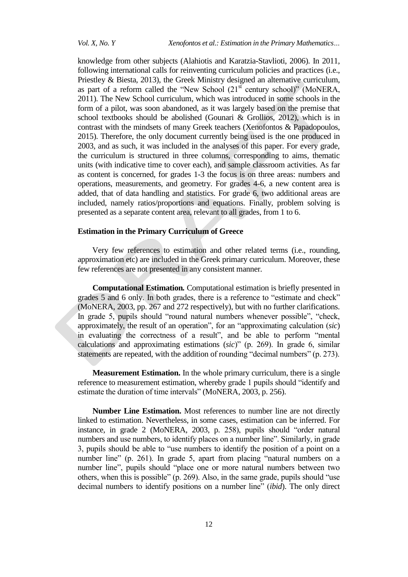knowledge from other subjects (Alahiotis and Karatzia-Stavlioti, 2006). In 2011, following international calls for reinventing curriculum policies and practices (i.e., Priestley & Biesta, 2013), the Greek Ministry designed an alternative curriculum, as part of a reform called the "New School  $(21<sup>st</sup>$  century school)" (MoNERA, 2011). The New School curriculum, which was introduced in some schools in the form of a pilot, was soon abandoned, as it was largely based on the premise that school textbooks should be abolished (Gounari & Grollios, 2012), which is in contrast with the mindsets of many Greek teachers (Xenofontos & Papadopoulos, 2015). Therefore, the only document currently being used is the one produced in 2003, and as such, it was included in the analyses of this paper. For every grade, the curriculum is structured in three columns, corresponding to aims, thematic units (with indicative time to cover each), and sample classroom activities. As far as content is concerned, for grades 1-3 the focus is on three areas: numbers and operations, measurements, and geometry. For grades 4-6, a new content area is added, that of data handling and statistics. For grade 6, two additional areas are included, namely ratios/proportions and equations. Finally, problem solving is presented as a separate content area, relevant to all grades, from 1 to 6.

#### **Estimation in the Primary Curriculum of Greece**

Very few references to estimation and other related terms (i.e., rounding, approximation etc) are included in the Greek primary curriculum. Moreover, these few references are not presented in any consistent manner.

**Computational Estimation***.* Computational estimation is briefly presented in grades 5 and 6 only. In both grades, there is a reference to "estimate and check" (MoNERA, 2003, pp. 267 and 272 respectively), but with no further clarifications. In grade 5, pupils should "round natural numbers whenever possible", "check, approximately, the result of an operation", for an "approximating calculation (*sic*) in evaluating the correctness of a result", and be able to perform "mental calculations and approximating estimations (*sic*)" (p. 269). In grade 6, similar statements are repeated, with the addition of rounding "decimal numbers" (p. 273).

**Measurement Estimation.** In the whole primary curriculum, there is a single reference to measurement estimation, whereby grade 1 pupils should "identify and estimate the duration of time intervals" (MoNERA, 2003, p. 256).

**Number Line Estimation.** Most references to number line are not directly linked to estimation. Nevertheless, in some cases, estimation can be inferred. For instance, in grade 2 (MoNERA, 2003, p. 258), pupils should "order natural numbers and use numbers, to identify places on a number line". Similarly, in grade 3, pupils should be able to "use numbers to identify the position of a point on a number line" (p. 261). In grade 5, apart from placing "natural numbers on a number line", pupils should "place one or more natural numbers between two others, when this is possible" (p. 269). Also, in the same grade, pupils should "use decimal numbers to identify positions on a number line" (*ibid*). The only direct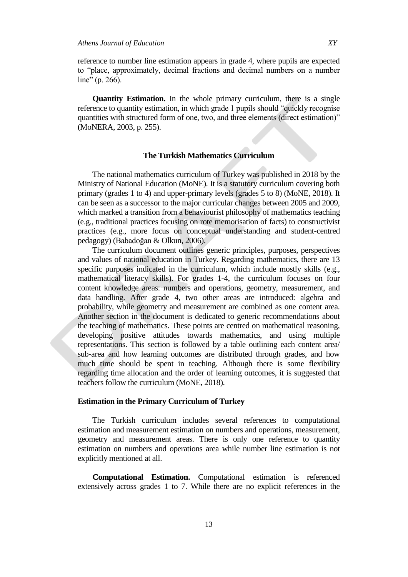reference to number line estimation appears in grade 4, where pupils are expected to "place, approximately, decimal fractions and decimal numbers on a number line" (p. 266).

**Quantity Estimation.** In the whole primary curriculum, there is a single reference to quantity estimation, in which grade 1 pupils should "quickly recognise quantities with structured form of one, two, and three elements (direct estimation)" (MoNERA, 2003, p. 255).

### **The Turkish Mathematics Curriculum**

The national mathematics curriculum of Turkey was published in 2018 by the Ministry of National Education (MoNE). It is a statutory curriculum covering both primary (grades 1 to 4) and upper-primary levels (grades 5 to 8) (MoNE, 2018). It can be seen as a successor to the major curricular changes between 2005 and 2009, which marked a transition from a behaviourist philosophy of mathematics teaching (e.g., traditional practices focusing on rote memorisation of facts) to constructivist practices (e.g., more focus on conceptual understanding and student-centred pedagogy) (Babadoğan & Olkun, 2006).

The curriculum document outlines generic principles, purposes, perspectives and values of national education in Turkey. Regarding mathematics, there are 13 specific purposes indicated in the curriculum, which include mostly skills (e.g., mathematical literacy skills). For grades 1-4, the curriculum focuses on four content knowledge areas: numbers and operations, geometry, measurement, and data handling. After grade 4, two other areas are introduced: algebra and probability, while geometry and measurement are combined as one content area. Another section in the document is dedicated to generic recommendations about the teaching of mathematics. These points are centred on mathematical reasoning, developing positive attitudes towards mathematics, and using multiple representations. This section is followed by a table outlining each content area/ sub-area and how learning outcomes are distributed through grades, and how much time should be spent in teaching. Although there is some flexibility regarding time allocation and the order of learning outcomes, it is suggested that teachers follow the curriculum (MoNE, 2018).

#### **Estimation in the Primary Curriculum of Turkey**

The Turkish curriculum includes several references to computational estimation and measurement estimation on numbers and operations, measurement, geometry and measurement areas. There is only one reference to quantity estimation on numbers and operations area while number line estimation is not explicitly mentioned at all.

**Computational Estimation.** Computational estimation is referenced extensively across grades 1 to 7. While there are no explicit references in the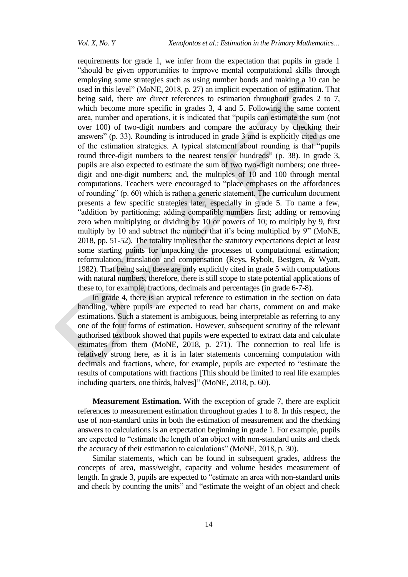requirements for grade 1, we infer from the expectation that pupils in grade 1 "should be given opportunities to improve mental computational skills through employing some strategies such as using number bonds and making a 10 can be used in this level" (MoNE, 2018, p. 27) an implicit expectation of estimation. That being said, there are direct references to estimation throughout grades 2 to 7, which become more specific in grades 3, 4 and 5. Following the same content area, number and operations, it is indicated that "pupils can estimate the sum (not over 100) of two-digit numbers and compare the accuracy by checking their answers" (p. 33). Rounding is introduced in grade 3 and is explicitly cited as one of the estimation strategies. A typical statement about rounding is that "pupils round three-digit numbers to the nearest tens or hundreds" (p. 38). In grade 3, pupils are also expected to estimate the sum of two two-digit numbers; one threedigit and one-digit numbers; and, the multiples of 10 and 100 through mental computations. Teachers were encouraged to "place emphases on the affordances of rounding" (p. 60) which is rather a generic statement. The curriculum document presents a few specific strategies later, especially in grade 5. To name a few, "addition by partitioning; adding compatible numbers first; adding or removing zero when multiplying or dividing by 10 or powers of 10; to multiply by 9, first multiply by 10 and subtract the number that it's being multiplied by 9" (MoNE, 2018, pp. 51-52). The totality implies that the statutory expectations depict at least some starting points for unpacking the processes of computational estimation; reformulation, translation and compensation (Reys, Rybolt, Bestgen, & Wyatt, 1982). That being said, these are only explicitly cited in grade 5 with computations with natural numbers, therefore, there is still scope to state potential applications of these to, for example, fractions, decimals and percentages (in grade 6-7-8).

In grade 4, there is an atypical reference to estimation in the section on data handling, where pupils are expected to read bar charts, comment on and make estimations. Such a statement is ambiguous, being interpretable as referring to any one of the four forms of estimation. However, subsequent scrutiny of the relevant authorised textbook showed that pupils were expected to extract data and calculate estimates from them (MoNE, 2018, p. 271). The connection to real life is relatively strong here, as it is in later statements concerning computation with decimals and fractions, where, for example, pupils are expected to "estimate the results of computations with fractions [This should be limited to real life examples including quarters, one thirds, halves]" (MoNE, 2018, p. 60).

**Measurement Estimation.** With the exception of grade 7, there are explicit references to measurement estimation throughout grades 1 to 8. In this respect, the use of non-standard units in both the estimation of measurement and the checking answers to calculations is an expectation beginning in grade 1. For example, pupils are expected to "estimate the length of an object with non-standard units and check the accuracy of their estimation to calculations" (MoNE, 2018, p. 30).

Similar statements, which can be found in subsequent grades, address the concepts of area, mass/weight, capacity and volume besides measurement of length. In grade 3, pupils are expected to "estimate an area with non-standard units and check by counting the units" and "estimate the weight of an object and check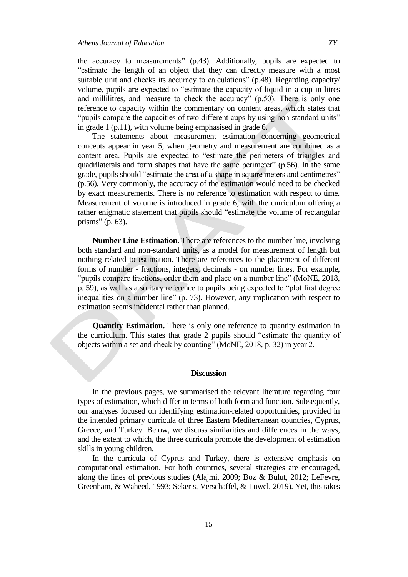the accuracy to measurements" (p.43). Additionally, pupils are expected to "estimate the length of an object that they can directly measure with a most suitable unit and checks its accuracy to calculations" (p.48). Regarding capacity/ volume, pupils are expected to "estimate the capacity of liquid in a cup in litres and millilitres, and measure to check the accuracy" (p.50). There is only one reference to capacity within the commentary on content areas, which states that "pupils compare the capacities of two different cups by using non-standard units" in grade 1 (p.11), with volume being emphasised in grade 6.

The statements about measurement estimation concerning geometrical concepts appear in year 5, when geometry and measurement are combined as a content area. Pupils are expected to "estimate the perimeters of triangles and quadrilaterals and form shapes that have the same perimeter" (p.56). In the same grade, pupils should "estimate the area of a shape in square meters and centimetres" (p.56). Very commonly, the accuracy of the estimation would need to be checked by exact measurements. There is no reference to estimation with respect to time. Measurement of volume is introduced in grade 6, with the curriculum offering a rather enigmatic statement that pupils should "estimate the volume of rectangular prisms" (p. 63).

**Number Line Estimation.** There are references to the number line, involving both standard and non-standard units, as a model for measurement of length but nothing related to estimation. There are references to the placement of different forms of number - fractions, integers, decimals - on number lines. For example, "pupils compare fractions, order them and place on a number line" (MoNE, 2018, p. 59), as well as a solitary reference to pupils being expected to "plot first degree inequalities on a number line" (p. 73). However, any implication with respect to estimation seems incidental rather than planned.

**Quantity Estimation.** There is only one reference to quantity estimation in the curriculum. This states that grade 2 pupils should "estimate the quantity of objects within a set and check by counting" (MoNE, 2018, p. 32) in year 2.

#### **Discussion**

In the previous pages, we summarised the relevant literature regarding four types of estimation, which differ in terms of both form and function. Subsequently, our analyses focused on identifying estimation-related opportunities, provided in the intended primary curricula of three Eastern Mediterranean countries, Cyprus, Greece, and Turkey. Below, we discuss similarities and differences in the ways, and the extent to which, the three curricula promote the development of estimation skills in young children.

In the curricula of Cyprus and Turkey, there is extensive emphasis on computational estimation. For both countries, several strategies are encouraged, along the lines of previous studies (Alajmi, 2009; Boz & Bulut, 2012; LeFevre, Greenham, & Waheed, 1993; Sekeris, Verschaffel, & Luwel, 2019). Yet, this takes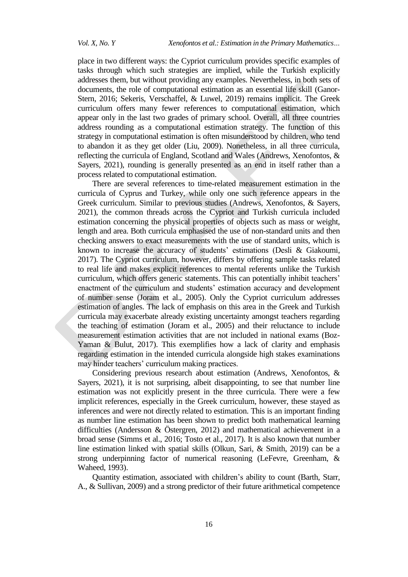place in two different ways: the Cypriot curriculum provides specific examples of tasks through which such strategies are implied, while the Turkish explicitly addresses them, but without providing any examples. Nevertheless, in both sets of documents, the role of computational estimation as an essential life skill (Ganor-Stern, 2016; Sekeris, Verschaffel, & Luwel, 2019) remains implicit. The Greek curriculum offers many fewer references to computational estimation, which appear only in the last two grades of primary school. Overall, all three countries address rounding as a computational estimation strategy. The function of this strategy in computational estimation is often misunderstood by children, who tend to abandon it as they get older (Liu, 2009). Nonetheless, in all three curricula, reflecting the curricula of England, Scotland and Wales (Andrews, Xenofontos, & Sayers, 2021), rounding is generally presented as an end in itself rather than a process related to computational estimation.

There are several references to time-related measurement estimation in the curricula of Cyprus and Turkey, while only one such reference appears in the Greek curriculum. Similar to previous studies (Andrews, Xenofontos, & Sayers, 2021), the common threads across the Cypriot and Turkish curricula included estimation concerning the physical properties of objects such as mass or weight, length and area. Both curricula emphasised the use of non-standard units and then checking answers to exact measurements with the use of standard units, which is known to increase the accuracy of students' estimations (Desli & Giakoumi, 2017). The Cypriot curriculum, however, differs by offering sample tasks related to real life and makes explicit references to mental referents unlike the Turkish curriculum, which offers generic statements. This can potentially inhibit teachers' enactment of the curriculum and students" estimation accuracy and development of number sense (Joram et al., 2005). Only the Cypriot curriculum addresses estimation of angles. The lack of emphasis on this area in the Greek and Turkish curricula may exacerbate already existing uncertainty amongst teachers regarding the teaching of estimation (Joram et al., 2005) and their reluctance to include measurement estimation activities that are not included in national exams (Boz-Yaman & Bulut, 2017). This exemplifies how a lack of clarity and emphasis regarding estimation in the intended curricula alongside high stakes examinations may hinder teachers' curriculum making practices.

Considering previous research about estimation (Andrews, Xenofontos, & Sayers, 2021), it is not surprising, albeit disappointing, to see that number line estimation was not explicitly present in the three curricula. There were a few implicit references, especially in the Greek curriculum, however, these stayed as inferences and were not directly related to estimation. This is an important finding as number line estimation has been shown to predict both mathematical learning difficulties (Andersson & Östergren, 2012) and mathematical achievement in a broad sense (Simms et al., 2016; Tosto et al., 2017). It is also known that number line estimation linked with spatial skills (Olkun, Sari, & Smith, 2019) can be a strong underpinning factor of numerical reasoning (LeFevre, Greenham, & Waheed, 1993).

Quantity estimation, associated with children"s ability to count (Barth, Starr, A., & Sullivan, 2009) and a strong predictor of their future arithmetical competence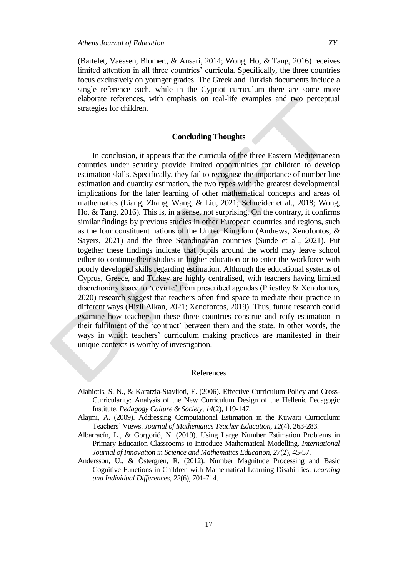(Bartelet, Vaessen, Blomert, & Ansari, 2014; Wong, Ho, & Tang, 2016) receives limited attention in all three countries' curricula. Specifically, the three countries focus exclusively on younger grades. The Greek and Turkish documents include a single reference each, while in the Cypriot curriculum there are some more elaborate references, with emphasis on real-life examples and two perceptual strategies for children.

#### **Concluding Thoughts**

In conclusion, it appears that the curricula of the three Eastern Mediterranean countries under scrutiny provide limited opportunities for children to develop estimation skills. Specifically, they fail to recognise the importance of number line estimation and quantity estimation, the two types with the greatest developmental implications for the later learning of other mathematical concepts and areas of mathematics (Liang, Zhang, Wang, & Liu, 2021; Schneider et al., 2018; Wong, Ho, & Tang, 2016). This is, in a sense, not surprising. On the contrary, it confirms similar findings by previous studies in other European countries and regions, such as the four constituent nations of the United Kingdom (Andrews, Xenofontos, & Sayers, 2021) and the three Scandinavian countries (Sunde et al., 2021). Put together these findings indicate that pupils around the world may leave school either to continue their studies in higher education or to enter the workforce with poorly developed skills regarding estimation. Although the educational systems of Cyprus, Greece, and Turkey are highly centralised, with teachers having limited discretionary space to "deviate" from prescribed agendas (Priestley & Xenofontos, 2020) research suggest that teachers often find space to mediate their practice in different ways (Hizli Alkan, 2021; Xenofontos, 2019). Thus, future research could examine how teachers in these three countries construe and reify estimation in their fulfilment of the "contract" between them and the state. In other words, the ways in which teachers" curriculum making practices are manifested in their unique contexts is worthy of investigation.

#### References

- Alahiotis, S. N., & Karatzia-Stavlioti, E. (2006). Effective Curriculum Policy and Cross-Curricularity: Analysis of the New Curriculum Design of the Hellenic Pedagogic Institute. *Pedagogy Culture & Society, 14*(2), 119-147.
- Alajmi, A. (2009). Addressing Computational Estimation in the Kuwaiti Curriculum: Teachers" Views. *Journal of Mathematics Teacher Education, 12*(4), 263-283.
- Albarracín, L., & Gorgorió, N. (2019). Using Large Number Estimation Problems in Primary Education Classrooms to Introduce Mathematical Modelling. *International Journal of Innovation in Science and Mathematics Education, 27*(2), 45-57.
- Andersson, U., & Östergren, R. (2012). Number Magnitude Processing and Basic Cognitive Functions in Children with Mathematical Learning Disabilities. *Learning and Individual Differences, 22*(6), 701-714.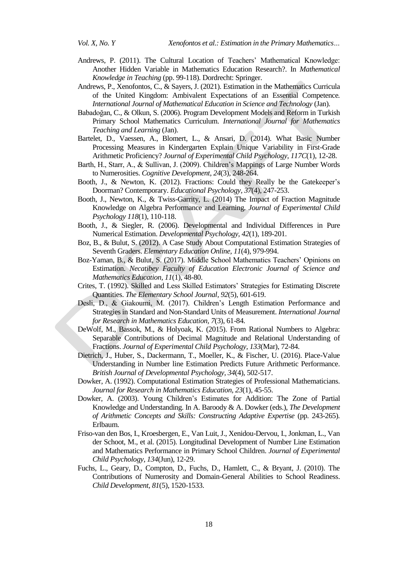- Andrews, P. (2011). The Cultural Location of Teachers" Mathematical Knowledge: Another Hidden Variable in Mathematics Education Research?. In *Mathematical Knowledge in Teaching* (pp. 99-118). Dordrecht: Springer.
- Andrews, P., Xenofontos, C., & Sayers, J. (2021). Estimation in the Mathematics Curricula of the United Kingdom: Ambivalent Expectations of an Essential Competence*. International Journal of Mathematical Education in Science and Technology* (Jan).
- Babadoğan, C., & Olkun, S. (2006). Program Development Models and Reform in Turkish Primary School Mathematics Curriculum. *International Journal for Mathematics Teaching and Learning* (Jan).
- Bartelet, D., Vaessen, A., Blomert, L., & Ansari, D. (2014). What Basic Number Processing Measures in Kindergarten Explain Unique Variability in First-Grade Arithmetic Proficiency? *Journal of Experimental Child Psychology, 117C*(1), 12-28.
- Barth, H., Starr, A., & Sullivan, J. (2009). Children"s Mappings of Large Number Words to Numerosities. *Cognitive Development, 24*(3), 248-264.
- Booth, J., & Newton, K. (2012). Fractions: Could they Really be the Gatekeeper"s Doorman? Contemporary. *Educational Psychology, 37*(4), 247-253.
- Booth, J., Newton, K., & Twiss-Garrity, L. (2014) The Impact of Fraction Magnitude Knowledge on Algebra Performance and Learning. *Journal of Experimental Child Psychology 118*(1), 110-118.
- Booth, J., & Siegler, R. (2006). Developmental and Individual Differences in Pure Numerical Estimation. *Developmental Psychology, 42*(1), 189-201.
- Boz, B., & Bulut, S. (2012). A Case Study About Computational Estimation Strategies of Seventh Graders. *Elementary Education Online, 11*(4), 979-994.
- Boz-Yaman, B., & Bulut, S. (2017). Middle School Mathematics Teachers" Opinions on Estimation. *Necatibey Faculty of Education Electronic Journal of Science and Mathematics Education, 11*(1), 48-80.
- Crites, T. (1992). Skilled and Less Skilled Estimators" Strategies for Estimating Discrete Quantities. *The Elementary School Journal, 92*(5), 601-619.
- Desli, D., & Giakoumi, M. (2017). Children"s Length Estimation Performance and Strategies in Standard and Non-Standard Units of Measurement. *International Journal for Research in Mathematics Education, 7*(3), 61-84.
- DeWolf, M., Bassok, M., & Holyoak, K. (2015). From Rational Numbers to Algebra: Separable Contributions of Decimal Magnitude and Relational Understanding of Fractions. *Journal of Experimental Child Psychology, 133*(Mar), 72-84.
- Dietrich, J., Huber, S., Dackermann, T., Moeller, K., & Fischer, U. (2016). Place-Value Understanding in Number line Estimation Predicts Future Arithmetic Performance. *British Journal of Developmental Psychology, 34*(4), 502-517.
- Dowker, A. (1992). Computational Estimation Strategies of Professional Mathematicians. *Journal for Research in Mathematics Education, 23*(1), 45-55.
- Dowker, A. (2003). Young Children"s Estimates for Addition: The Zone of Partial Knowledge and Understanding. In A. Baroody & A. Dowker (eds.), *The Development of Arithmetic Concepts and Skills: Constructing Adaptive Expertise* (pp. 243-265)*.*  Erlbaum.
- Friso-van den Bos, I., Kroesbergen, E., Van Luit, J., Xenidou-Dervou, I., Jonkman, L., Van der Schoot, M., et al. (2015). Longitudinal Development of Number Line Estimation and Mathematics Performance in Primary School Children. *Journal of Experimental Child Psychology, 134*(Jun), 12-29.
- Fuchs, L., Geary, D., Compton, D., Fuchs, D., Hamlett, C., & Bryant, J. (2010). The Contributions of Numerosity and Domain-General Abilities to School Readiness. *Child Development, 81*(5), 1520-1533.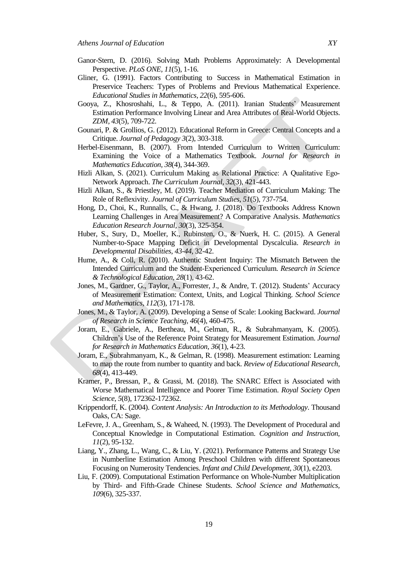- Ganor-Stern, D. (2016). Solving Math Problems Approximately: A Developmental Perspective. *PLoS ONE, 11*(5), 1-16.
- Gliner, G. (1991). Factors Contributing to Success in Mathematical Estimation in Preservice Teachers: Types of Problems and Previous Mathematical Experience. *Educational Studies in Mathematics, 22*(6), 595-606.
- Gooya, Z., Khosroshahi, L., & Teppo, A. (2011). Iranian Students" Measurement Estimation Performance Involving Linear and Area Attributes of Real-World Objects. *ZDM, 43*(5), 709-722.
- Gounari, P. & Grollios, G. (2012). Educational Reform in Greece: Central Concepts and a Critique. *Journal of Pedagogy 3*(2), 303-318.
- Herbel-Eisenmann, B. (2007). From Intended Curriculum to Written Curriculum: Examining the Voice of a Mathematics Textbook. *Journal for Research in Mathematics Education, 38*(4), 344-369.
- Hizli Alkan, S. (2021). Curriculum Making as Relational Practice: A Qualitative Ego-Network Approach. *The Curriculum Journal, 32*(3), 421-443.
- Hizli Alkan, S., & Priestley, M. (2019). Teacher Mediation of Curriculum Making: The Role of Reflexivity. *Journal of Curriculum Studies, 51*(5), 737-754.
- Hong, D., Choi, K., Runnalls, C., & Hwang, J. (2018). Do Textbooks Address Known Learning Challenges in Area Measurement? A Comparative Analysis. *Mathematics Education Research Journal, 30*(3), 325-354.
- Huber, S., Sury, D., Moeller, K., Rubinsten, O., & Nuerk, H. C. (2015). A General Number-to-Space Mapping Deficit in Developmental Dyscalculia. *Research in Developmental Disabilities, 43-44*, 32-42.
- Hume, A., & Coll, R. (2010). Authentic Student Inquiry: The Mismatch Between the Intended Curriculum and the Student‐Experienced Curriculum. *Research in Science & Technological Education, 28*(1), 43-62.
- Jones, M., Gardner, G., Taylor, A., Forrester, J., & Andre, T. (2012). Students" Accuracy of Measurement Estimation: Context, Units, and Logical Thinking. *School Science and Mathematics, 112*(3), 171-178.
- Jones, M., & Taylor, A. (2009). Developing a Sense of Scale: Looking Backward. *Journal of Research in Science Teaching, 46*(4), 460-475.
- Joram, E., Gabriele, A., Bertheau, M., Gelman, R., & Subrahmanyam, K. (2005). Children"s Use of the Reference Point Strategy for Measurement Estimation. *Journal for Research in Mathematics Education, 36*(1), 4-23.
- Joram, E., Subrahmanyam, K., & Gelman, R. (1998). Measurement estimation: Learning to map the route from number to quantity and back. *Review of Educational Research, 68*(4), 413-449.
- Kramer, P., Bressan, P., & Grassi, M. (2018). The SNARC Effect is Associated with Worse Mathematical Intelligence and Poorer Time Estimation. *Royal Society Open Science, 5*(8), 172362-172362.
- Krippendorff, K. (2004). *Content Analysis: An Introduction to its Methodology*. Thousand Oaks, CA: Sage.
- LeFevre, J. A., Greenham, S., & Waheed, N. (1993). The Development of Procedural and Conceptual Knowledge in Computational Estimation. *Cognition and Instruction, 11*(2), 95-132.
- Liang, Y., Zhang, L., Wang, C., & Liu, Y. (2021). Performance Patterns and Strategy Use in Numberline Estimation Among Preschool Children with different Spontaneous Focusing on Numerosity Tendencies. *Infant and Child Development, 30*(1), e2203.
- Liu, F. (2009). Computational Estimation Performance on Whole-Number Multiplication by Third- and Fifth-Grade Chinese Students. *School Science and Mathematics, 109*(6), 325-337.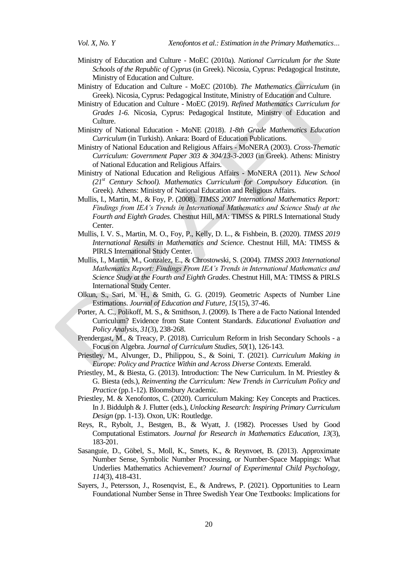- Ministry of Education and Culture MoEC (2010a). *National Curriculum for the State Schools of the Republic of Cyprus* (in Greek). Nicosia, Cyprus: Pedagogical Institute, Ministry of Education and Culture.
- Ministry of Education and Culture MoEC (2010b). *The Mathematics Curriculum* (in Greek). Nicosia, Cyprus: Pedagogical Institute, Ministry of Education and Culture.
- Ministry of Education and Culture MoEC (2019). *Refined Mathematics Curriculum for Grades 1-6.* Nicosia, Cyprus: Pedagogical Institute, Ministry of Education and Culture.
- Ministry of National Education MoNE (2018). *1-8th Grade Mathematics Education Curriculum* (in Turkish). Ankara: Board of Education Publications.
- Ministry of National Education and Religious Affairs MoNERA (2003). *Cross-Thematic Curriculum: Government Paper 303 & 304/13-3-2003* (in Greek). Athens: Ministry of National Education and Religious Affairs.
- Ministry of National Education and Religious Affairs MoNERA (2011). *New School (21st Century School). Mathematics Curriculum for Compulsory Education.* (in Greek). Athens: Ministry of National Education and Religious Affairs.
- Mullis, I., Martin, M., & Foy, P. (2008). *TIMSS 2007 International Mathematics Report: Findings from IEA's Trends in International Mathematics and Science Study at the Fourth and Eighth Grades.* Chestnut Hill, MA: TIMSS & PIRLS International Study Center.
- Mullis, I. V. S., Martin, M. O., Foy, P., Kelly, D. L., & Fishbein, B. (2020). *TIMSS 2019 International Results in Mathematics and Science.* Chestnut Hill, MA: TIMSS & PIRLS International Study Center.
- Mullis, I., Martin, M., Gonzalez, E., & Chrostowski, S. (2004). *TIMSS 2003 International Mathematics Report: Findings From IEA's Trends in International Mathematics and Science Study at the Fourth and Eighth Grades*. Chestnut Hill, MA: TIMSS & PIRLS International Study Center.
- Olkun, S., Sari, M. H., & Smith, G. G. (2019). Geometric Aspects of Number Line Estimations. *Journal of Education and Future, 15*(15), 37-46.
- Porter, A. C., Polikoff, M. S., & Smithson, J. (2009). Is There a de Facto National Intended Curriculum? Evidence from State Content Standards. *Educational Evaluation and Policy Analysis, 31*(3), 238-268.
- Prendergast, M., & Treacy, P. (2018). Curriculum Reform in Irish Secondary Schools a Focus on Algebra. *Journal of Curriculum Studies, 50*(1), 126-143.
- Priestley, M., Alvunger, D., Philippou, S., & Soini, T. (2021). *Curriculum Making in Europe: Policy and Practice Within and Across Diverse Contexts.* Emerald.
- Priestley, M., & Biesta, G. (2013). Introduction: The New Curriculum. In M. Priestley & G. Biesta (eds.), *Reinventing the Curriculum: New Trends in Curriculum Policy and Practice* (pp.1-12). Bloomsbury Academic.
- Priestley, M. & Xenofontos, C. (2020). Curriculum Making: Key Concepts and Practices. In J. Biddulph & J. Flutter (eds.), *Unlocking Research: Inspiring Primary Curriculum Design* (pp. 1-13). Oxon, UK: Routledge.
- Reys, R., Rybolt, J., Bestgen, B., & Wyatt, J. (1982). Processes Used by Good Computational Estimators. *Journal for Research in Mathematics Education, 13*(3), 183-201.
- Sasanguie, D., Göbel, S., Moll, K., Smets, K., & Reynvoet, B. (2013). Approximate Number Sense, Symbolic Number Processing, or Number-Space Mappings: What Underlies Mathematics Achievement? *Journal of Experimental Child Psychology, 114*(3), 418-431.
- Sayers, J., Petersson, J., Rosenqvist, E., & Andrews, P. (2021). Opportunities to Learn Foundational Number Sense in Three Swedish Year One Textbooks: Implications for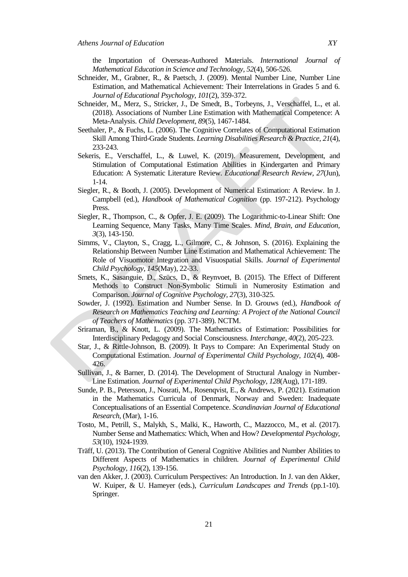the Importation of Overseas-Authored Materials. *International Journal of Mathematical Education in Science and Technology, 52*(4), 506-526.

- Schneider, M., Grabner, R., & Paetsch, J. (2009). Mental Number Line, Number Line Estimation, and Mathematical Achievement: Their Interrelations in Grades 5 and 6. *Journal of Educational Psychology, 101*(2), 359-372.
- Schneider, M., Merz, S., Stricker, J., De Smedt, B., Torbeyns, J., Verschaffel, L., et al. (2018). Associations of Number Line Estimation with Mathematical Competence: A Meta-Analysis. *Child Development, 89*(5), 1467-1484.
- Seethaler, P., & Fuchs, L. (2006). The Cognitive Correlates of Computational Estimation Skill Among Third-Grade Students. *Learning Disabilities Research & Practice, 21*(4), 233-243.
- Sekeris, E., Verschaffel, L., & Luwel, K. (2019). Measurement, Development, and Stimulation of Computational Estimation Abilities in Kindergarten and Primary Education: A Systematic Literature Review. *Educational Research Review, 27*(Jun), 1-14.
- Siegler, R., & Booth, J. (2005). Development of Numerical Estimation: A Review. In J. Campbell (ed.), *Handbook of Mathematical Cognition* (pp. 197-212). Psychology Press.
- Siegler, R., Thompson, C., & Opfer, J. E. (2009). The Logarithmic-to-Linear Shift: One Learning Sequence, Many Tasks, Many Time Scales. *Mind, Brain, and Education, 3*(3), 143-150.
- Simms, V., Clayton, S., Cragg, L., Gilmore, C., & Johnson, S. (2016). Explaining the Relationship Between Number Line Estimation and Mathematical Achievement: The Role of Visuomotor Integration and Visuospatial Skills. *Journal of Experimental Child Psychology, 145*(May), 22-33.
- Smets, K., Sasanguie, D., Szücs, D., & Reynvoet, B. (2015). The Effect of Different Methods to Construct Non-Symbolic Stimuli in Numerosity Estimation and Comparison. *Journal of Cognitive Psychology, 27*(3), 310-325.
- Sowder, J. (1992). Estimation and Number Sense. In D. Grouws (ed.), *Handbook of Research on Mathematics Teaching and Learning: A Project of the National Council of Teachers of Mathematics* (pp. 371-389). NCTM.
- Sriraman, B., & Knott, L. (2009). The Mathematics of Estimation: Possibilities for Interdisciplinary Pedagogy and Social Consciousness. *Interchange, 40*(2), 205-223.
- Star, J., & Rittle-Johnson, B. (2009). It Pays to Compare: An Experimental Study on Computational Estimation. *Journal of Experimental Child Psychology, 102*(4), 408- 426.
- Sullivan, J., & Barner, D. (2014). The Development of Structural Analogy in Number-Line Estimation. *Journal of Experimental Child Psychology, 128*(Aug), 171-189.
- Sunde, P. B., Petersson, J., Nosrati, M., Rosenqvist, E., & Andrews, P. (2021). Estimation in the Mathematics Curricula of Denmark, Norway and Sweden: Inadequate Conceptualisations of an Essential Competence. *Scandinavian Journal of Educational Research*, (Mar), 1-16.
- Tosto, M., Petrill, S., Malykh, S., Malki, K., Haworth, C., Mazzocco, M., et al. (2017). Number Sense and Mathematics: Which, When and How? *Developmental Psychology, 53*(10), 1924-1939.
- Träff, U. (2013). The Contribution of General Cognitive Abilities and Number Abilities to Different Aspects of Mathematics in children. *Journal of Experimental Child Psychology, 116*(2), 139-156.
- van den Akker, J. (2003). Curriculum Perspectives: An Introduction. In J. van den Akker, W. Kuiper, & U. Hameyer (eds.), *Curriculum Landscapes and Trends* (pp.1-10)*.*  Springer.